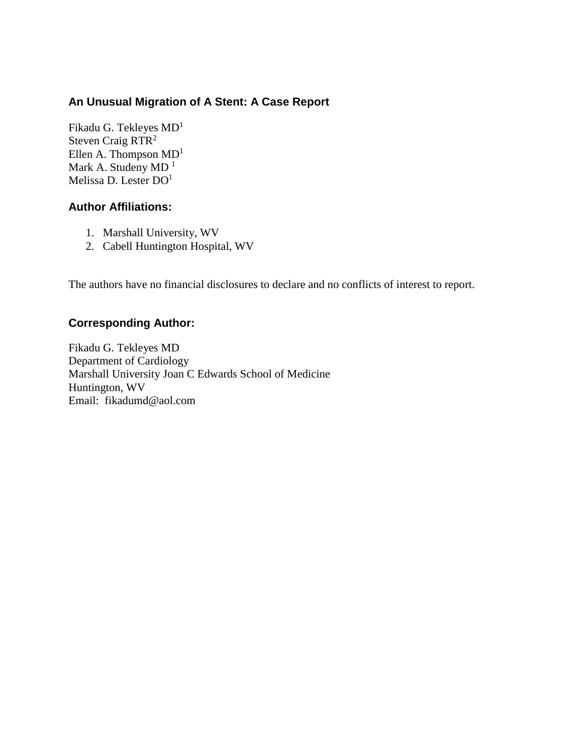# **An Unusual Migration of A Stent: A Case Report**

[Fikadu G. Tekleyes MD](javascript:popUp()<sup>1</sup> [Steven Craig](javascript:popUp() RTR<sup>2</sup> [Ellen A. Thompson](javascript:popUp()  $MD<sup>1</sup>$ [Mark A. Studeny](javascript:popUp() MD<sup>1</sup> [Melissa D. Lester](javascript:popUp() DO<sup>1</sup>

### **Author Affiliations:**

- 1. Marshall University, WV
- 2. Cabell Huntington Hospital, WV

The authors have no financial disclosures to declare and no conflicts of interest to report.

#### **Corresponding Author:**

[Fikadu G. Tekleyes MD](javascript:popUp() Department of Cardiology Marshall University Joan C Edwards School of Medicine Huntington, WV Email: fikadumd@aol.com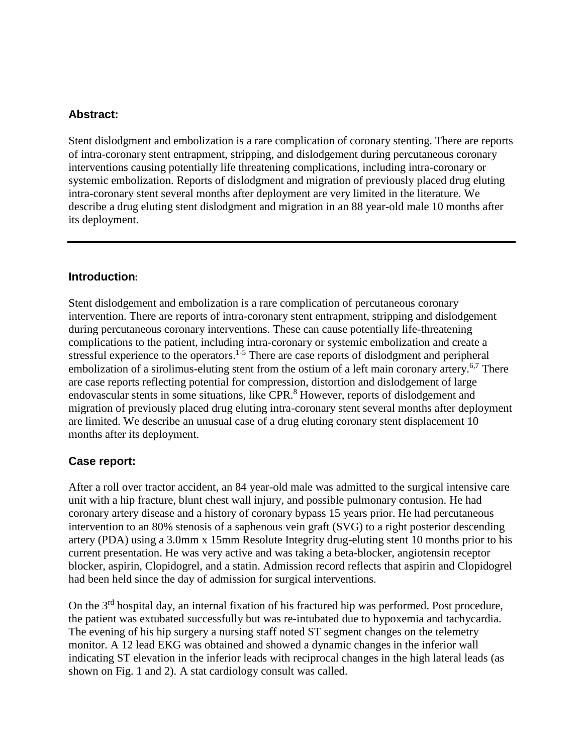### **Abstract:**

Stent dislodgment and embolization is a rare complication of coronary stenting. There are reports of intra-coronary stent entrapment, stripping, and dislodgement during percutaneous coronary interventions causing potentially life threatening complications, including intra-coronary or systemic embolization. Reports of dislodgment and migration of previously placed drug eluting intra-coronary stent several months after deployment are very limited in the literature. We describe a drug eluting stent dislodgment and migration in an 88 year-old male 10 months after its deployment.

#### **Introduction**:

Stent dislodgement and embolization is a rare complication of percutaneous coronary intervention. There are reports of intra-coronary stent entrapment, stripping and dislodgement during percutaneous coronary interventions. These can cause potentially life-threatening complications to the patient, including intra-coronary or systemic embolization and create a stressful experience to the operators.<sup>1-5</sup> There are case reports of dislodgment and peripheral embolization of a sirolimus-eluting stent from the ostium of a left main coronary artery.<sup>6,7</sup> There are case reports reflecting potential for compression, distortion and dislodgement of large endovascular stents in some situations, like CPR.<sup>8</sup> However, reports of dislodgement and migration of previously placed drug eluting intra-coronary stent several months after deployment are limited. We describe an unusual case of a drug eluting coronary stent displacement 10 months after its deployment.

#### **Case report:**

After a roll over tractor accident, an 84 year-old male was admitted to the surgical intensive care unit with a hip fracture, blunt chest wall injury, and possible pulmonary contusion. He had coronary artery disease and a history of coronary bypass 15 years prior. He had percutaneous intervention to an 80% stenosis of a saphenous vein graft (SVG) to a right posterior descending artery (PDA) using a 3.0mm x 15mm Resolute Integrity drug-eluting stent 10 months prior to his current presentation. He was very active and was taking a beta-blocker, angiotensin receptor blocker, aspirin, Clopidogrel, and a statin. Admission record reflects that aspirin and Clopidogrel had been held since the day of admission for surgical interventions.

On the 3rd hospital day, an internal fixation of his fractured hip was performed. Post procedure, the patient was extubated successfully but was re-intubated due to hypoxemia and tachycardia. The evening of his hip surgery a nursing staff noted ST segment changes on the telemetry monitor. A 12 lead EKG was obtained and showed a dynamic changes in the inferior wall indicating ST elevation in the inferior leads with reciprocal changes in the high lateral leads (as shown on Fig. 1 and 2). A stat cardiology consult was called.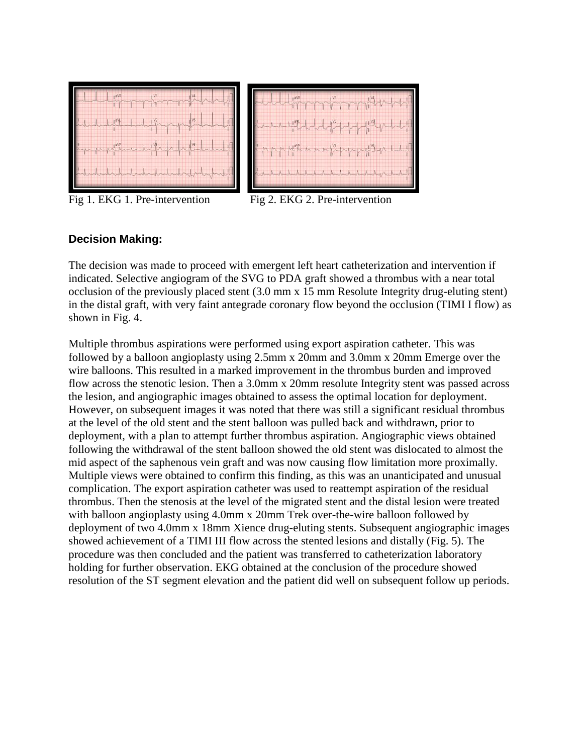

Fig 1. EKG 1. Pre-intervention Fig 2. EKG 2. Pre-intervention

## **Decision Making:**

The decision was made to proceed with emergent left heart catheterization and intervention if indicated. Selective angiogram of the SVG to PDA graft showed a thrombus with a near total occlusion of the previously placed stent (3.0 mm x 15 mm Resolute Integrity drug-eluting stent) in the distal graft, with very faint antegrade coronary flow beyond the occlusion (TIMI I flow) as shown in Fig. 4.

Multiple thrombus aspirations were performed using export aspiration catheter. This was followed by a balloon angioplasty using 2.5mm x 20mm and 3.0mm x 20mm Emerge over the wire balloons. This resulted in a marked improvement in the thrombus burden and improved flow across the stenotic lesion. Then a 3.0mm x 20mm resolute Integrity stent was passed across the lesion, and angiographic images obtained to assess the optimal location for deployment. However, on subsequent images it was noted that there was still a significant residual thrombus at the level of the old stent and the stent balloon was pulled back and withdrawn, prior to deployment, with a plan to attempt further thrombus aspiration. Angiographic views obtained following the withdrawal of the stent balloon showed the old stent was dislocated to almost the mid aspect of the saphenous vein graft and was now causing flow limitation more proximally. Multiple views were obtained to confirm this finding, as this was an unanticipated and unusual complication. The export aspiration catheter was used to reattempt aspiration of the residual thrombus. Then the stenosis at the level of the migrated stent and the distal lesion were treated with balloon angioplasty using 4.0mm x 20mm Trek over-the-wire balloon followed by deployment of two 4.0mm x 18mm Xience drug-eluting stents. Subsequent angiographic images showed achievement of a TIMI III flow across the stented lesions and distally (Fig. 5). The procedure was then concluded and the patient was transferred to catheterization laboratory holding for further observation. EKG obtained at the conclusion of the procedure showed resolution of the ST segment elevation and the patient did well on subsequent follow up periods.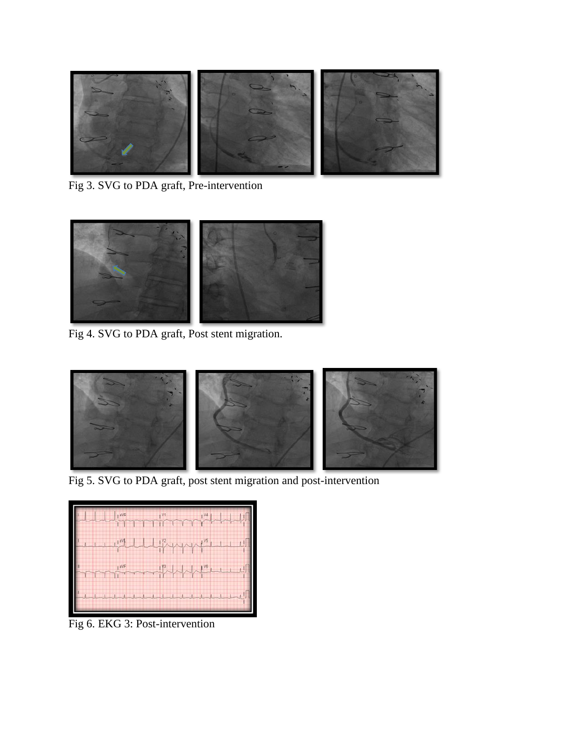

Fig 3. SVG to PDA graft, Pre-intervention



Fig 4. SVG to PDA graft, Post stent migration.



Fig 5. SVG to PDA graft, post stent migration and post-intervention



Fig 6. EKG 3: Post-intervention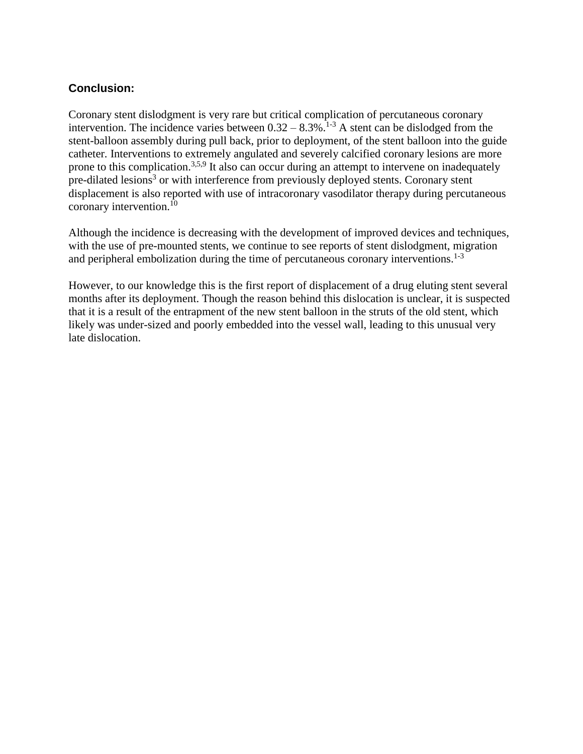## **Conclusion:**

Coronary stent dislodgment is very rare but critical complication of percutaneous coronary intervention. The incidence varies between  $0.32 - 8.3\%$ .<sup>1-3</sup> A stent can be dislodged from the stent-balloon assembly during pull back, prior to deployment, of the stent balloon into the guide catheter. Interventions to extremely angulated and severely calcified coronary lesions are more prone to this complication.<sup>3,5,9</sup> It also can occur during an attempt to intervene on inadequately pre-dilated lesions<sup>3</sup> or with interference from previously deployed stents. Coronary stent displacement is also reported with use of intracoronary vasodilator therapy during percutaneous coronary intervention.<sup>10</sup>

Although the incidence is decreasing with the development of improved devices and techniques, with the use of pre-mounted stents, we continue to see reports of stent dislodgment, migration and peripheral embolization during the time of percutaneous coronary interventions.<sup>1-3</sup>

However, to our knowledge this is the first report of displacement of a drug eluting stent several months after its deployment. Though the reason behind this dislocation is unclear, it is suspected that it is a result of the entrapment of the new stent balloon in the struts of the old stent, which likely was under-sized and poorly embedded into the vessel wall, leading to this unusual very late dislocation.